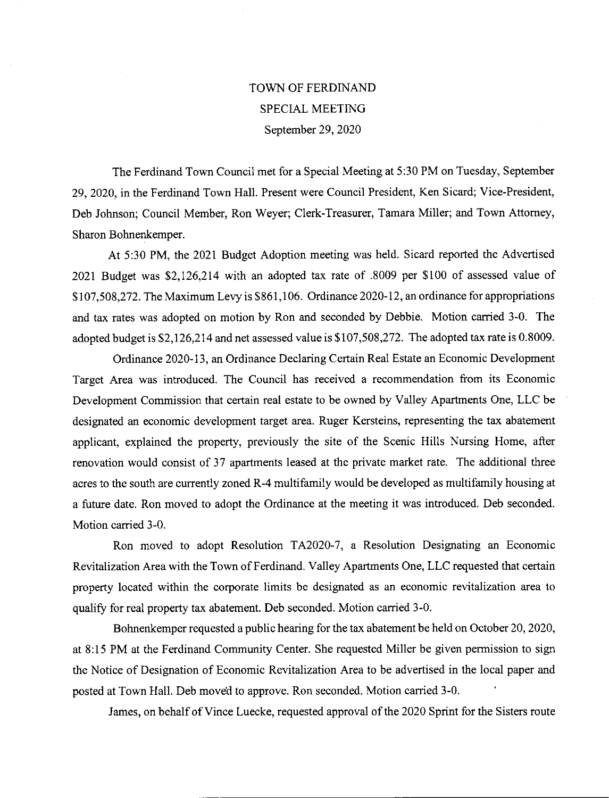## TOWN OF FERDINAND SPECIAL MEETING September 29, 2020

The Ferdinand Town Council met for a Special Meeting at 5:30 PM on Tuesday, September 29, 2020, in the Ferdinand Town Hall. Present were Council President, Ken Sicard; Vice-President, Deb Johnson; Council Member, Ron Weyer; Clerk-Treasurer, Tamara Miller; and Town Attorney, Sharon Bohnenkemper.

At 5:30 PM, the 2021 Budget Adoption meeting was held. Sicard reported the Advertised 2021 Budget was \$2,126,214 with an adopted tax rate of .8009 per \$100 of assessed value of \$107,508,272. The Maximum Levy is \$861,106. Ordinance 2020-12, an ordinance for appropriations and tax rates was adopted on motion by Ron and seconded by Debbie. Motion carried 3-0. The adopted budget is \$2,126,214 and net assessed value is \$107,508,272. The adopted tax rate is 0.8009.

Ordinance 2020-13, an Ordinance Declaring Certain Real Estate an Economic Development Target Area was introduced. The Council has received a recommendation from its Economic Development Commission that certain real estate to be owned by Valley Apartments One, LLC be designated an economic development target area. Ruger Kersteins, representing the tax abatement applicant, explained the property, previously the site of the Scenic Hills Nursing Home, after renovation would consist of 37 apartments leased at the private market rate. The additional three acres to the south are currently zoned R-4 multifamily would be developed as multifamily housing at a future date. Ron moved to adopt the Ordinance at the meeting it was introduced. Deb seconded. Motion carried 3-0.

Ron moved to adopt Resolution TA2020-7, a Resolution Designating an Economic Revitalization Area with the Town of Ferdinand. Valley Apartments One, LLC requested that certain property located within the corporate limits be designated as an economic revitalization area to qualify for real property tax abatement. Deb seconded. Motion carried 3-0.

Bohnenkemper requested a public hearing for the tax abatement be held on October 20, 2020, at 8:15 PM at the Ferdinand Community Center. She requested Miller be given permission to sign the Notice of Designation of Economic Revitalization Area to be advertised in the local paper and posted at Town Hall. Deb moved to approve. Ron seconded. Motion carried 3-0.

James, on behalf of Vince Luecke, requested approval of the 2020 Sprint for the Sisters route